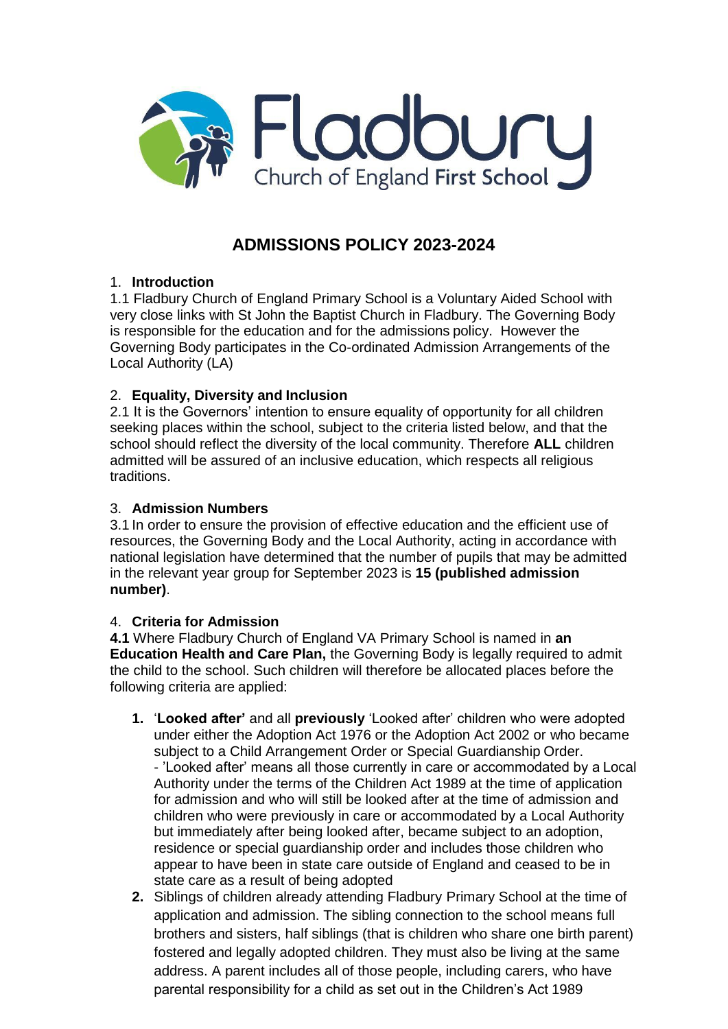

# **ADMISSIONS POLICY 2023-2024**

# 1. **Introduction**

1.1 Fladbury Church of England Primary School is a Voluntary Aided School with very close links with St John the Baptist Church in Fladbury. The Governing Body is responsible for the education and for the admissions policy. However the Governing Body participates in the Co-ordinated Admission Arrangements of the Local Authority (LA)

## 2. **Equality, Diversity and Inclusion**

2.1 It is the Governors' intention to ensure equality of opportunity for all children seeking places within the school, subject to the criteria listed below, and that the school should reflect the diversity of the local community. Therefore **ALL** children admitted will be assured of an inclusive education, which respects all religious traditions.

### 3. **Admission Numbers**

3.1 In order to ensure the provision of effective education and the efficient use of resources, the Governing Body and the Local Authority, acting in accordance with national legislation have determined that the number of pupils that may be admitted in the relevant year group for September 2023 is **15 (published admission number)**.

#### 4. **Criteria for Admission**

**4.1** Where Fladbury Church of England VA Primary School is named in **an Education Health and Care Plan,** the Governing Body is legally required to admit the child to the school. Such children will therefore be allocated places before the following criteria are applied:

- **1.** '**Looked after'** and all **previously** 'Looked after' children who were adopted under either the Adoption Act 1976 or the Adoption Act 2002 or who became subject to a Child Arrangement Order or Special Guardianship Order. - 'Looked after' means all those currently in care or accommodated by a Local Authority under the terms of the Children Act 1989 at the time of application for admission and who will still be looked after at the time of admission and children who were previously in care or accommodated by a Local Authority but immediately after being looked after, became subject to an adoption, residence or special guardianship order and includes those children who appear to have been in state care outside of England and ceased to be in state care as a result of being adopted
- **2.** Siblings of children already attending Fladbury Primary School at the time of application and admission. The sibling connection to the school means full brothers and sisters, half siblings (that is children who share one birth parent) fostered and legally adopted children. They must also be living at the same address. A parent includes all of those people, including carers, who have parental responsibility for a child as set out in the Children's Act 1989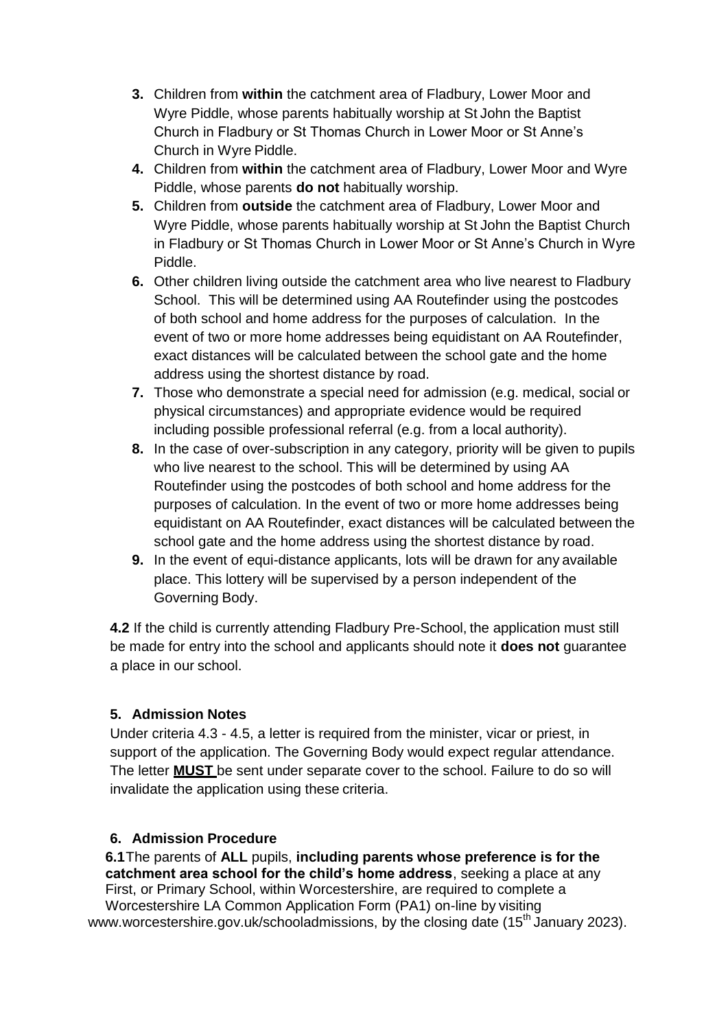- **3.** Children from **within** the catchment area of Fladbury, Lower Moor and Wyre Piddle, whose parents habitually worship at St John the Baptist Church in Fladbury or St Thomas Church in Lower Moor or St Anne's Church in Wyre Piddle.
- **4.** Children from **within** the catchment area of Fladbury, Lower Moor and Wyre Piddle, whose parents **do not** habitually worship.
- **5.** Children from **outside** the catchment area of Fladbury, Lower Moor and Wyre Piddle, whose parents habitually worship at St John the Baptist Church in Fladbury or St Thomas Church in Lower Moor or St Anne's Church in Wyre Piddle.
- **6.** Other children living outside the catchment area who live nearest to Fladbury School. This will be determined using AA Routefinder using the postcodes of both school and home address for the purposes of calculation. In the event of two or more home addresses being equidistant on AA Routefinder, exact distances will be calculated between the school gate and the home address using the shortest distance by road.
- **7.** Those who demonstrate a special need for admission (e.g. medical, social or physical circumstances) and appropriate evidence would be required including possible professional referral (e.g. from a local authority).
- **8.** In the case of over-subscription in any category, priority will be given to pupils who live nearest to the school. This will be determined by using AA Routefinder using the postcodes of both school and home address for the purposes of calculation. In the event of two or more home addresses being equidistant on AA Routefinder, exact distances will be calculated between the school gate and the home address using the shortest distance by road.
- **9.** In the event of equi-distance applicants, lots will be drawn for any available place. This lottery will be supervised by a person independent of the Governing Body.

**4.2** If the child is currently attending Fladbury Pre-School, the application must still be made for entry into the school and applicants should note it **does not** guarantee a place in our school.

# **5. Admission Notes**

Under criteria 4.3 - 4.5, a letter is required from the minister, vicar or priest, in support of the application. The Governing Body would expect regular attendance. The letter **MUST** be sent under separate cover to the school. Failure to do so will invalidate the application using these criteria.

# **6. Admission Procedure**

**6.1**The parents of **ALL** pupils, **including parents whose preference is for the catchment area school for the child's home address**, seeking a place at any First, or Primary School, within Worcestershire, are required to complete a

Worcestershire LA Common Application Form (PA1) on-line by visiting [www.worcestershire.gov.uk/schooladmissions,](http://www.worcestershire.gov.uk/schooladmissions) by the closing date (15<sup>th</sup> January 2023).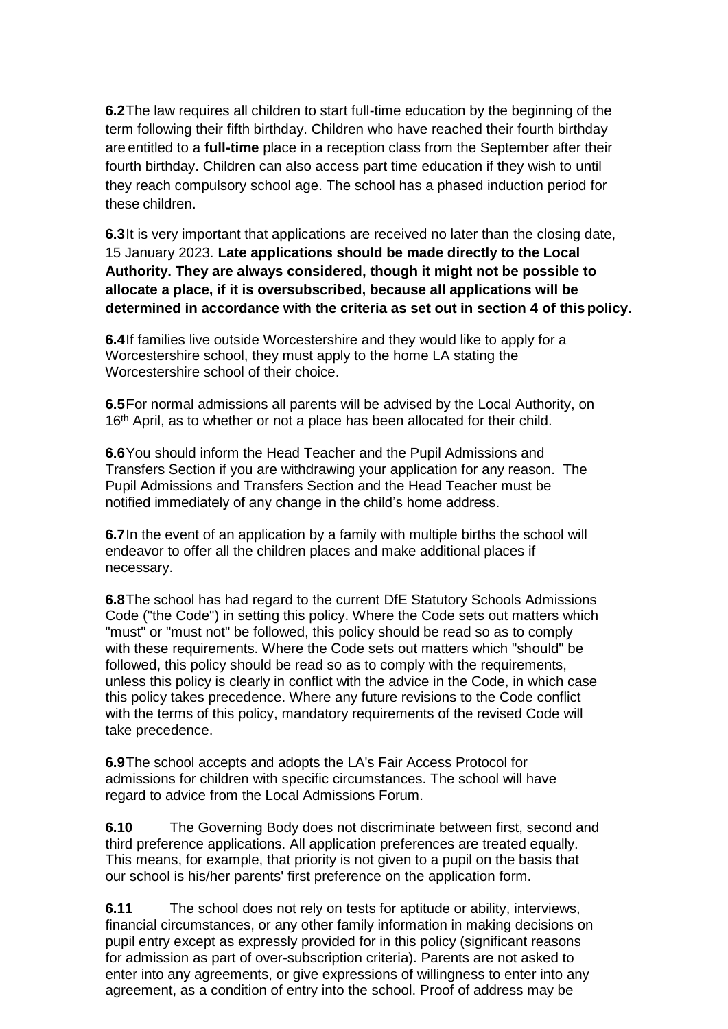**6.2**The law requires all children to start full-time education by the beginning of the term following their fifth birthday. Children who have reached their fourth birthday are entitled to a **full-time** place in a reception class from the September after their fourth birthday. Children can also access part time education if they wish to until they reach compulsory school age. The school has a phased induction period for these children.

**6.3**It is very important that applications are received no later than the closing date, 15 January 2023. **Late applications should be made directly to the Local Authority. They are always considered, though it might not be possible to allocate a place, if it is oversubscribed, because all applications will be determined in accordance with the criteria as set out in section 4 of this policy.**

**6.4**If families live outside Worcestershire and they would like to apply for a Worcestershire school, they must apply to the home LA stating the Worcestershire school of their choice.

**6.5**For normal admissions all parents will be advised by the Local Authority, on 16<sup>th</sup> April, as to whether or not a place has been allocated for their child.

**6.6**You should inform the Head Teacher and the Pupil Admissions and Transfers Section if you are withdrawing your application for any reason. The Pupil Admissions and Transfers Section and the Head Teacher must be notified immediately of any change in the child's home address.

**6.7**In the event of an application by a family with multiple births the school will endeavor to offer all the children places and make additional places if necessary.

**6.8**The school has had regard to the current DfE Statutory Schools Admissions Code ("the Code") in setting this policy. Where the Code sets out matters which "must" or "must not" be followed, this policy should be read so as to comply with these requirements. Where the Code sets out matters which "should" be followed, this policy should be read so as to comply with the requirements, unless this policy is clearly in conflict with the advice in the Code, in which case this policy takes precedence. Where any future revisions to the Code conflict with the terms of this policy, mandatory requirements of the revised Code will take precedence.

**6.9**The school accepts and adopts the LA's Fair Access Protocol for admissions for children with specific circumstances. The school will have regard to advice from the Local Admissions Forum.

**6.10** The Governing Body does not discriminate between first, second and third preference applications. All application preferences are treated equally. This means, for example, that priority is not given to a pupil on the basis that our school is his/her parents' first preference on the application form.

**6.11** The school does not rely on tests for aptitude or ability, interviews, financial circumstances, or any other family information in making decisions on pupil entry except as expressly provided for in this policy (significant reasons for admission as part of over-subscription criteria). Parents are not asked to enter into any agreements, or give expressions of willingness to enter into any agreement, as a condition of entry into the school. Proof of address may be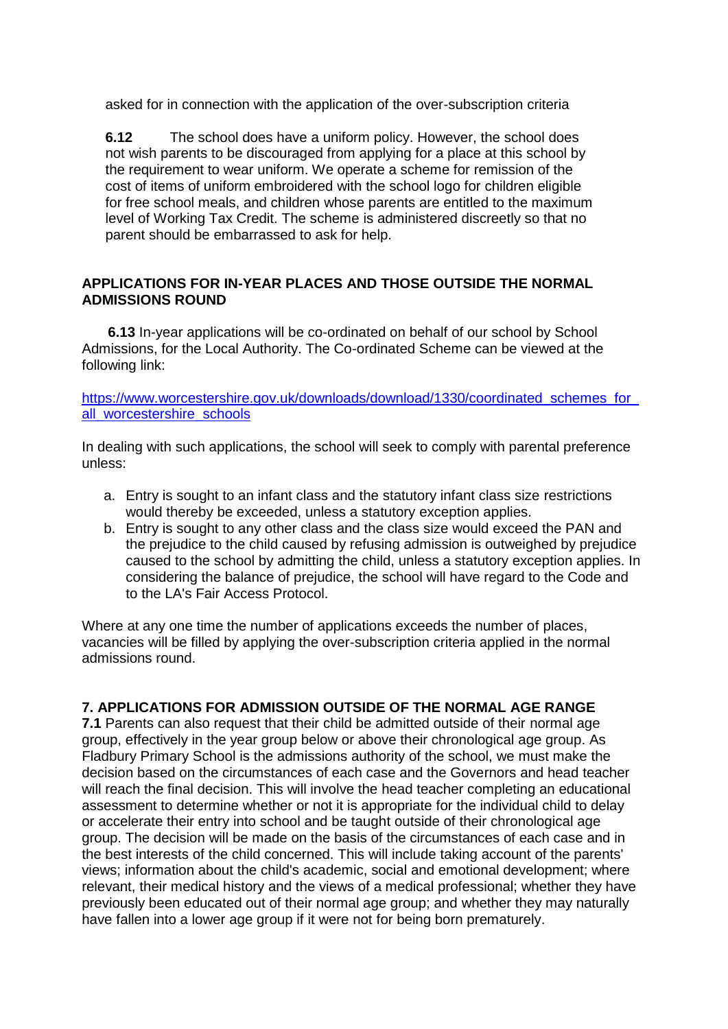asked for in connection with the application of the over-subscription criteria

**6.12** The school does have a uniform policy. However, the school does not wish parents to be discouraged from applying for a place at this school by the requirement to wear uniform. We operate a scheme for remission of the cost of items of uniform embroidered with the school logo for children eligible for free school meals, and children whose parents are entitled to the maximum level of Working Tax Credit. The scheme is administered discreetly so that no parent should be embarrassed to ask for help.

#### **APPLICATIONS FOR IN-YEAR PLACES AND THOSE OUTSIDE THE NORMAL ADMISSIONS ROUND**

**6.13** In-year applications will be co-ordinated on behalf of our school by School Admissions, for the Local Authority. The Co-ordinated Scheme can be viewed at the following link:

[https://www.worcestershire.gov.uk/downloads/download/1330/coordinated\\_schemes\\_for\\_](https://www.worcestershire.gov.uk/downloads/download/1330/coordinated_schemes_for_all_worcestershire_schools) all worcestershire schools

In dealing with such applications, the school will seek to comply with parental preference unless:

- a. Entry is sought to an infant class and the statutory infant class size restrictions would thereby be exceeded, unless a statutory exception applies.
- b. Entry is sought to any other class and the class size would exceed the PAN and the prejudice to the child caused by refusing admission is outweighed by prejudice caused to the school by admitting the child, unless a statutory exception applies. In considering the balance of prejudice, the school will have regard to the Code and to the LA's Fair Access Protocol.

Where at any one time the number of applications exceeds the number of places, vacancies will be filled by applying the over-subscription criteria applied in the normal admissions round.

#### **7. APPLICATIONS FOR ADMISSION OUTSIDE OF THE NORMAL AGE RANGE**

**7.1** Parents can also request that their child be admitted outside of their normal age group, effectively in the year group below or above their chronological age group. As Fladbury Primary School is the admissions authority of the school, we must make the decision based on the circumstances of each case and the Governors and head teacher will reach the final decision. This will involve the head teacher completing an educational assessment to determine whether or not it is appropriate for the individual child to delay or accelerate their entry into school and be taught outside of their chronological age group. The decision will be made on the basis of the circumstances of each case and in the best interests of the child concerned. This will include taking account of the parents' views; information about the child's academic, social and emotional development; where relevant, their medical history and the views of a medical professional; whether they have previously been educated out of their normal age group; and whether they may naturally have fallen into a lower age group if it were not for being born prematurely.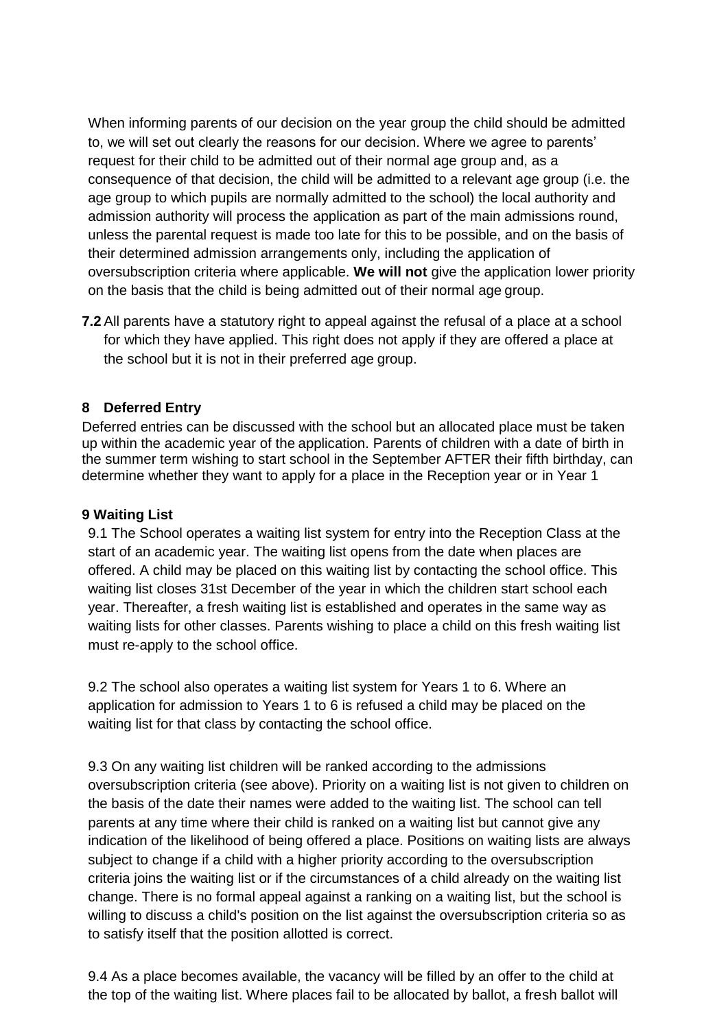When informing parents of our decision on the year group the child should be admitted to, we will set out clearly the reasons for our decision. Where we agree to parents' request for their child to be admitted out of their normal age group and, as a consequence of that decision, the child will be admitted to a relevant age group (i.e. the age group to which pupils are normally admitted to the school) the local authority and admission authority will process the application as part of the main admissions round, unless the parental request is made too late for this to be possible, and on the basis of their determined admission arrangements only, including the application of oversubscription criteria where applicable. **We will not** give the application lower priority on the basis that the child is being admitted out of their normal age group.

**7.2** All parents have a statutory right to appeal against the refusal of a place at a school for which they have applied. This right does not apply if they are offered a place at the school but it is not in their preferred age group.

## **8 Deferred Entry**

Deferred entries can be discussed with the school but an allocated place must be taken up within the academic year of the application. Parents of children with a date of birth in the summer term wishing to start school in the September AFTER their fifth birthday, can determine whether they want to apply for a place in the Reception year or in Year 1

#### **9 Waiting List**

9.1 The School operates a waiting list system for entry into the Reception Class at the start of an academic year. The waiting list opens from the date when places are offered. A child may be placed on this waiting list by contacting the school office. This waiting list closes 31st December of the year in which the children start school each year. Thereafter, a fresh waiting list is established and operates in the same way as waiting lists for other classes. Parents wishing to place a child on this fresh waiting list must re-apply to the school office.

9.2 The school also operates a waiting list system for Years 1 to 6. Where an application for admission to Years 1 to 6 is refused a child may be placed on the waiting list for that class by contacting the school office.

9.3 On any waiting list children will be ranked according to the admissions oversubscription criteria (see above). Priority on a waiting list is not given to children on the basis of the date their names were added to the waiting list. The school can tell parents at any time where their child is ranked on a waiting list but cannot give any indication of the likelihood of being offered a place. Positions on waiting lists are always subject to change if a child with a higher priority according to the oversubscription criteria joins the waiting list or if the circumstances of a child already on the waiting list change. There is no formal appeal against a ranking on a waiting list, but the school is willing to discuss a child's position on the list against the oversubscription criteria so as to satisfy itself that the position allotted is correct.

9.4 As a place becomes available, the vacancy will be filled by an offer to the child at the top of the waiting list. Where places fail to be allocated by ballot, a fresh ballot will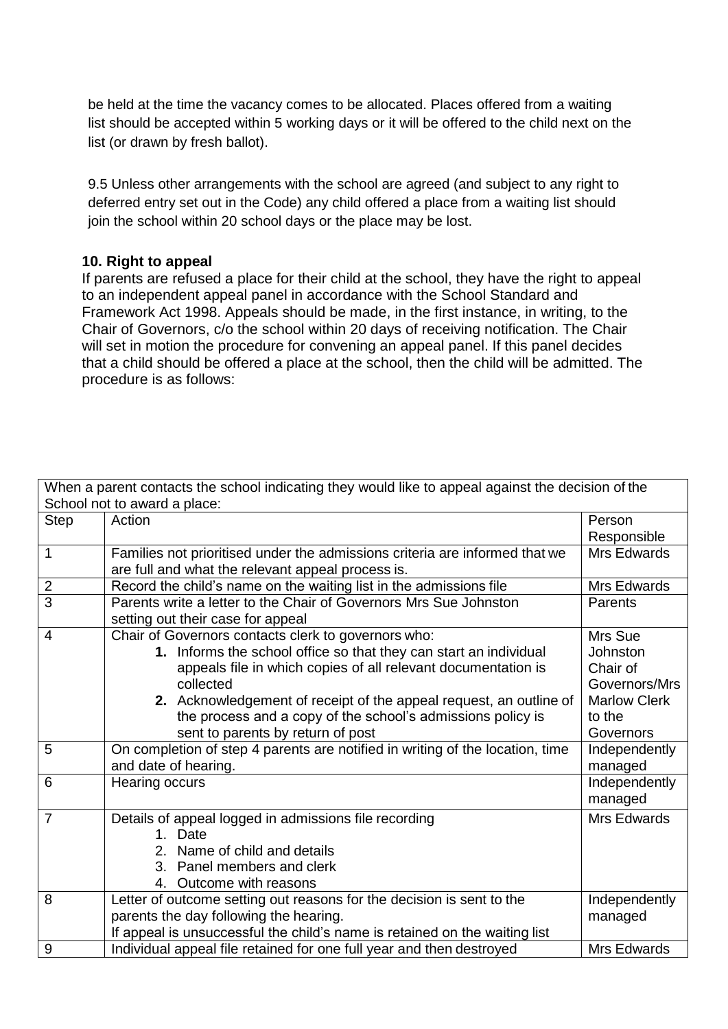be held at the time the vacancy comes to be allocated. Places offered from a waiting list should be accepted within 5 working days or it will be offered to the child next on the list (or drawn by fresh ballot).

9.5 Unless other arrangements with the school are agreed (and subject to any right to deferred entry set out in the Code) any child offered a place from a waiting list should join the school within 20 school days or the place may be lost.

#### **10. Right to appeal**

If parents are refused a place for their child at the school, they have the right to appeal to an independent appeal panel in accordance with the School Standard and Framework Act 1998. Appeals should be made, in the first instance, in writing, to the Chair of Governors, c/o the school within 20 days of receiving notification. The Chair will set in motion the procedure for convening an appeal panel. If this panel decides that a child should be offered a place at the school, then the child will be admitted. The procedure is as follows:

| When a parent contacts the school indicating they would like to appeal against the decision of the |                                                                               |                     |
|----------------------------------------------------------------------------------------------------|-------------------------------------------------------------------------------|---------------------|
| School not to award a place:                                                                       |                                                                               |                     |
| <b>Step</b>                                                                                        | Action                                                                        | Person              |
|                                                                                                    |                                                                               | Responsible         |
| $\mathbf 1$                                                                                        | Families not prioritised under the admissions criteria are informed that we   | Mrs Edwards         |
|                                                                                                    | are full and what the relevant appeal process is.                             |                     |
| $\overline{2}$                                                                                     | Record the child's name on the waiting list in the admissions file            | Mrs Edwards         |
| $\overline{3}$                                                                                     | Parents write a letter to the Chair of Governors Mrs Sue Johnston             | Parents             |
|                                                                                                    | setting out their case for appeal                                             |                     |
| $\overline{4}$                                                                                     | Chair of Governors contacts clerk to governors who:                           | Mrs Sue             |
|                                                                                                    | 1. Informs the school office so that they can start an individual             | Johnston            |
|                                                                                                    | appeals file in which copies of all relevant documentation is                 | Chair of            |
|                                                                                                    | collected                                                                     | Governors/Mrs       |
|                                                                                                    | 2. Acknowledgement of receipt of the appeal request, an outline of            | <b>Marlow Clerk</b> |
|                                                                                                    | the process and a copy of the school's admissions policy is                   | to the              |
|                                                                                                    | sent to parents by return of post                                             | Governors           |
| 5                                                                                                  | On completion of step 4 parents are notified in writing of the location, time | Independently       |
|                                                                                                    | and date of hearing.                                                          | managed             |
| 6                                                                                                  | Hearing occurs                                                                | Independently       |
|                                                                                                    |                                                                               | managed             |
| $\overline{7}$                                                                                     | Details of appeal logged in admissions file recording                         | Mrs Edwards         |
|                                                                                                    | 1. Date                                                                       |                     |
|                                                                                                    | 2. Name of child and details                                                  |                     |
|                                                                                                    | 3. Panel members and clerk                                                    |                     |
|                                                                                                    | 4. Outcome with reasons                                                       |                     |
| 8                                                                                                  | Letter of outcome setting out reasons for the decision is sent to the         | Independently       |
|                                                                                                    | parents the day following the hearing.                                        | managed             |
|                                                                                                    | If appeal is unsuccessful the child's name is retained on the waiting list    |                     |
| 9                                                                                                  | Individual appeal file retained for one full year and then destroyed          | Mrs Edwards         |